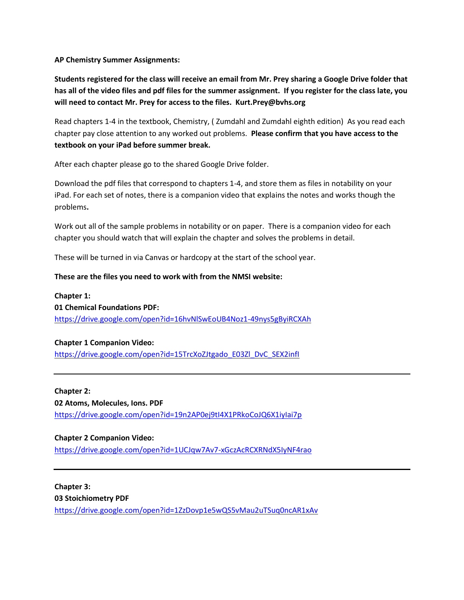**AP Chemistry Summer Assignments:**

**Students registered for the class will receive an email from Mr. Prey sharing a Google Drive folder that has all of the video files and pdf files for the summer assignment. If you register for the class late, you will need to contact Mr. Prey for access to the files. Kurt.Prey@bvhs.org**

Read chapters 1-4 in the textbook, Chemistry, ( Zumdahl and Zumdahl eighth edition) As you read each chapter pay close attention to any worked out problems. **Please confirm that you have access to the textbook on your iPad before summer break.** 

After each chapter please go to the shared Google Drive folder.

Download the pdf files that correspond to chapters 1-4, and store them as files in notability on your iPad. For each set of notes, there is a companion video that explains the notes and works though the problems**.** 

Work out all of the sample problems in notability or on paper. There is a companion video for each chapter you should watch that will explain the chapter and solves the problems in detail.

These will be turned in via Canvas or hardcopy at the start of the school year.

# **These are the files you need to work with from the NMSI website:**

**Chapter 1: 01 Chemical Foundations PDF:**  <https://drive.google.com/open?id=16hvNlSwEoUB4Noz1-49nys5gByiRCXAh>

# **Chapter 1 Companion Video:**

[https://drive.google.com/open?id=15TrcXoZJtgado\\_E03Zl\\_DvC\\_SEX2infI](https://drive.google.com/open?id=15TrcXoZJtgado_E03Zl_DvC_SEX2infI)

#### **Chapter 2:**

**02 Atoms, Molecules, Ions. PDF** <https://drive.google.com/open?id=19n2AP0ej9tI4X1PRkoCoJQ6X1iyIai7p>

# **Chapter 2 Companion Video:**

<https://drive.google.com/open?id=1UCJqw7Av7-xGczAcRCXRNdX5IyNF4rao>

**Chapter 3: 03 Stoichiometry PDF**  <https://drive.google.com/open?id=1ZzDovp1e5wQS5vMau2uTSuq0ncAR1xAv>